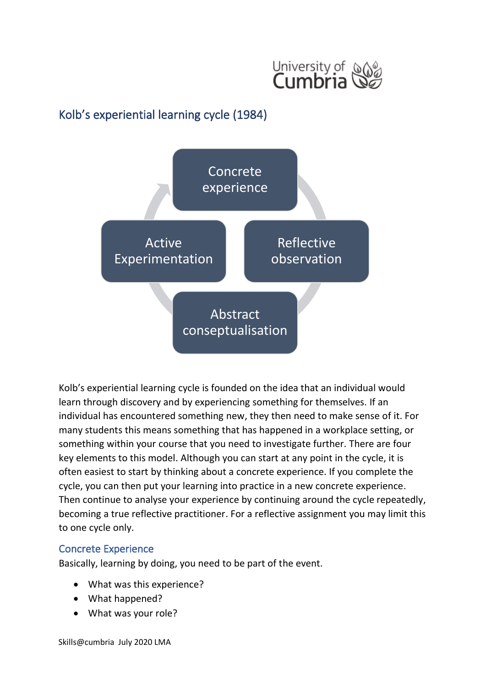

# Kolb's experiential learning cycle (1984)



Kolb's experiential learning cycle is founded on the idea that an individual would learn through discovery and by experiencing something for themselves. If an individual has encountered something new, they then need to make sense of it. For many students this means something that has happened in a workplace setting, or something within your course that you need to investigate further. There are four key elements to this model. Although you can start at any point in the cycle, it is often easiest to start by thinking about a concrete experience. If you complete the cycle, you can then put your learning into practice in a new concrete experience. Then continue to analyse your experience by continuing around the cycle repeatedly, becoming a true reflective practitioner. For a reflective assignment you may limit this to one cycle only.

#### Concrete Experience

Basically, learning by doing, you need to be part of the event.

- What was this experience?
- What happened?
- What was your role?